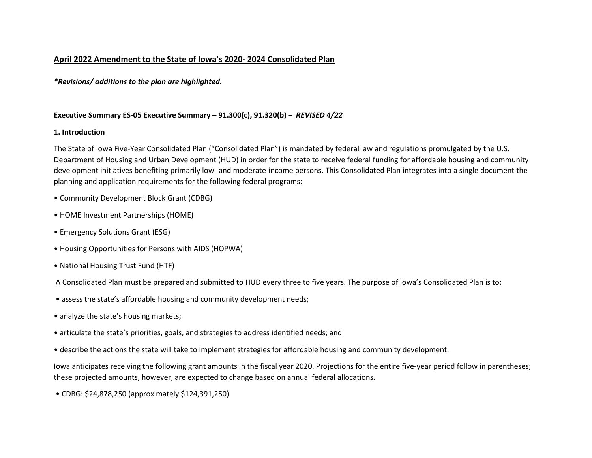## **April 2022 Amendment to the State of Iowa's 2020- 2024 Consolidated Plan**

*\*Revisions/ additions to the plan are highlighted.*

## **Executive Summary ES-05 Executive Summary – 91.300(c), 91.320(b) –** *REVISED 4/22*

## **1. Introduction**

The State of Iowa Five-Year Consolidated Plan ("Consolidated Plan") is mandated by federal law and regulations promulgated by the U.S. Department of Housing and Urban Development (HUD) in order for the state to receive federal funding for affordable housing and community development initiatives benefiting primarily low- and moderate-income persons. This Consolidated Plan integrates into a single document the planning and application requirements for the following federal programs:

- Community Development Block Grant (CDBG)
- HOME Investment Partnerships (HOME)
- Emergency Solutions Grant (ESG)
- Housing Opportunities for Persons with AIDS (HOPWA)
- National Housing Trust Fund (HTF)
- A Consolidated Plan must be prepared and submitted to HUD every three to five years. The purpose of Iowa's Consolidated Plan is to:
- assess the state's affordable housing and community development needs;
- analyze the state's housing markets;
- articulate the state's priorities, goals, and strategies to address identified needs; and
- describe the actions the state will take to implement strategies for affordable housing and community development.

Iowa anticipates receiving the following grant amounts in the fiscal year 2020. Projections for the entire five-year period follow in parentheses; these projected amounts, however, are expected to change based on annual federal allocations.

• CDBG: \$24,878,250 (approximately \$124,391,250)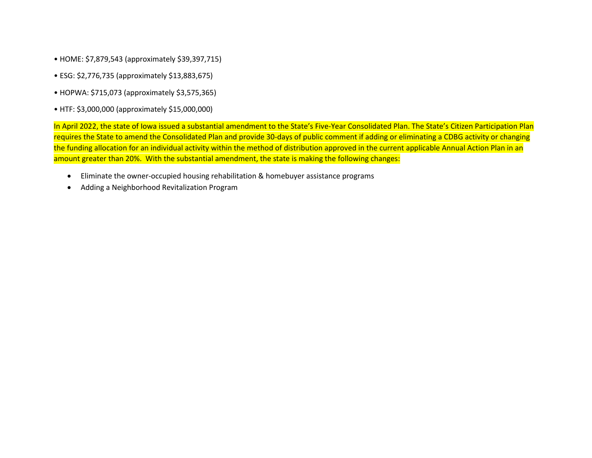- HOME: \$7,879,543 (approximately \$39,397,715)
- ESG: \$2,776,735 (approximately \$13,883,675)
- HOPWA: \$715,073 (approximately \$3,575,365)
- HTF: \$3,000,000 (approximately \$15,000,000)

In April 2022, the state of Iowa issued a substantial amendment to the State's Five-Year Consolidated Plan. The State's Citizen Participation Plan requires the State to amend the Consolidated Plan and provide 30-days of public comment if adding or eliminating a CDBG activity or changing the funding allocation for an individual activity within the method of distribution approved in the current applicable Annual Action Plan in an amount greater than 20%. With the substantial amendment, the state is making the following changes:

- Eliminate the owner-occupied housing rehabilitation & homebuyer assistance programs
- Adding a Neighborhood Revitalization Program